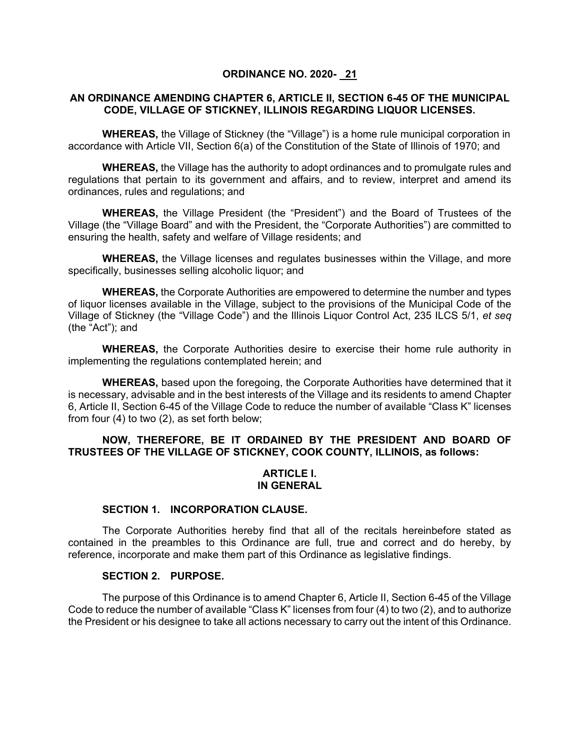## **ORDINANCE NO. 2020- 21**

## **AN ORDINANCE AMENDING CHAPTER 6, ARTICLE II, SECTION 6-45 OF THE MUNICIPAL CODE, VILLAGE OF STICKNEY, ILLINOIS REGARDING LIQUOR LICENSES.**

**WHEREAS,** the Village of Stickney (the "Village") is a home rule municipal corporation in accordance with Article VII, Section 6(a) of the Constitution of the State of Illinois of 1970; and

**WHEREAS,** the Village has the authority to adopt ordinances and to promulgate rules and regulations that pertain to its government and affairs, and to review, interpret and amend its ordinances, rules and regulations; and

**WHEREAS,** the Village President (the "President") and the Board of Trustees of the Village (the "Village Board" and with the President, the "Corporate Authorities") are committed to ensuring the health, safety and welfare of Village residents; and

**WHEREAS,** the Village licenses and regulates businesses within the Village, and more specifically, businesses selling alcoholic liquor; and

**WHEREAS,** the Corporate Authorities are empowered to determine the number and types of liquor licenses available in the Village, subject to the provisions of the Municipal Code of the Village of Stickney (the "Village Code") and the Illinois Liquor Control Act, 235 ILCS 5/1, *et seq* (the "Act"); and

**WHEREAS,** the Corporate Authorities desire to exercise their home rule authority in implementing the regulations contemplated herein; and

**WHEREAS,** based upon the foregoing, the Corporate Authorities have determined that it is necessary, advisable and in the best interests of the Village and its residents to amend Chapter 6, Article II, Section 6-45 of the Village Code to reduce the number of available "Class K" licenses from four (4) to two (2), as set forth below;

# **NOW, THEREFORE, BE IT ORDAINED BY THE PRESIDENT AND BOARD OF TRUSTEES OF THE VILLAGE OF STICKNEY, COOK COUNTY, ILLINOIS, as follows:**

# **ARTICLE I. IN GENERAL**

#### **SECTION 1. INCORPORATION CLAUSE.**

The Corporate Authorities hereby find that all of the recitals hereinbefore stated as contained in the preambles to this Ordinance are full, true and correct and do hereby, by reference, incorporate and make them part of this Ordinance as legislative findings.

## **SECTION 2. PURPOSE.**

The purpose of this Ordinance is to amend Chapter 6, Article II, Section 6-45 of the Village Code to reduce the number of available "Class K" licenses from four (4) to two (2), and to authorize the President or his designee to take all actions necessary to carry out the intent of this Ordinance.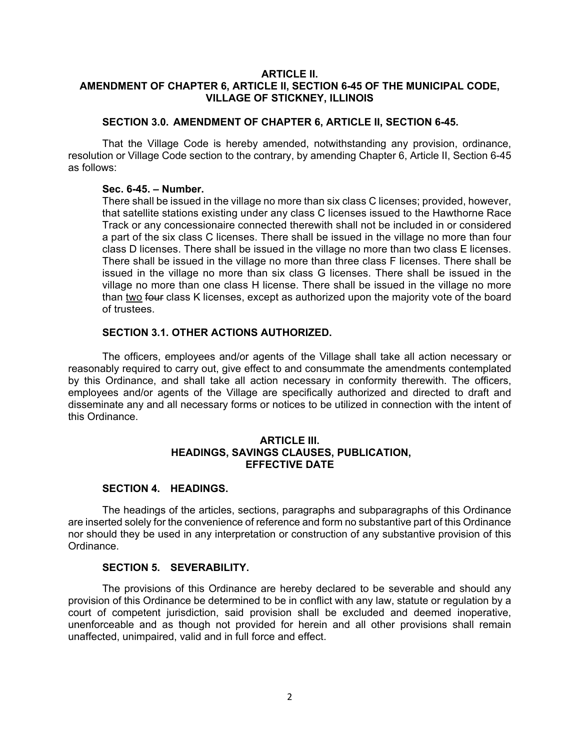## **ARTICLE II. AMENDMENT OF CHAPTER 6, ARTICLE II, SECTION 6-45 OF THE MUNICIPAL CODE, VILLAGE OF STICKNEY, ILLINOIS**

## **SECTION 3.0. AMENDMENT OF CHAPTER 6, ARTICLE II, SECTION 6-45.**

That the Village Code is hereby amended, notwithstanding any provision, ordinance, resolution or Village Code section to the contrary, by amending Chapter 6, Article II, Section 6-45 as follows:

## **Sec. 6-45. – Number.**

There shall be issued in the village no more than six class C licenses; provided, however, that satellite stations existing under any class C licenses issued to the Hawthorne Race Track or any concessionaire connected therewith shall not be included in or considered a part of the six class C licenses. There shall be issued in the village no more than four class D licenses. There shall be issued in the village no more than two class E licenses. There shall be issued in the village no more than three class F licenses. There shall be issued in the village no more than six class G licenses. There shall be issued in the village no more than one class H license. There shall be issued in the village no more than two four class K licenses, except as authorized upon the majority vote of the board of trustees.

## **SECTION 3.1. OTHER ACTIONS AUTHORIZED.**

The officers, employees and/or agents of the Village shall take all action necessary or reasonably required to carry out, give effect to and consummate the amendments contemplated by this Ordinance, and shall take all action necessary in conformity therewith. The officers, employees and/or agents of the Village are specifically authorized and directed to draft and disseminate any and all necessary forms or notices to be utilized in connection with the intent of this Ordinance.

## **ARTICLE III. HEADINGS, SAVINGS CLAUSES, PUBLICATION, EFFECTIVE DATE**

#### **SECTION 4. HEADINGS.**

The headings of the articles, sections, paragraphs and subparagraphs of this Ordinance are inserted solely for the convenience of reference and form no substantive part of this Ordinance nor should they be used in any interpretation or construction of any substantive provision of this Ordinance.

#### **SECTION 5. SEVERABILITY.**

The provisions of this Ordinance are hereby declared to be severable and should any provision of this Ordinance be determined to be in conflict with any law, statute or regulation by a court of competent jurisdiction, said provision shall be excluded and deemed inoperative, unenforceable and as though not provided for herein and all other provisions shall remain unaffected, unimpaired, valid and in full force and effect.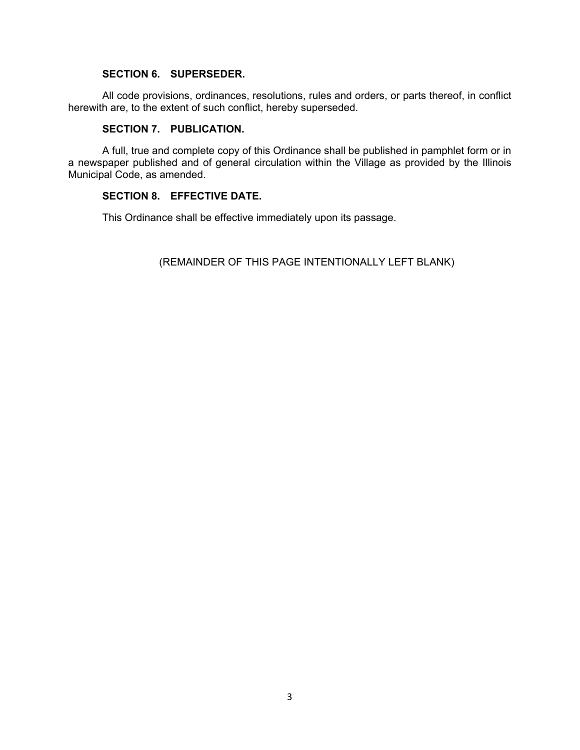# **SECTION 6. SUPERSEDER.**

All code provisions, ordinances, resolutions, rules and orders, or parts thereof, in conflict herewith are, to the extent of such conflict, hereby superseded.

## **SECTION 7. PUBLICATION.**

A full, true and complete copy of this Ordinance shall be published in pamphlet form or in a newspaper published and of general circulation within the Village as provided by the Illinois Municipal Code, as amended.

# **SECTION 8. EFFECTIVE DATE.**

This Ordinance shall be effective immediately upon its passage.

(REMAINDER OF THIS PAGE INTENTIONALLY LEFT BLANK)